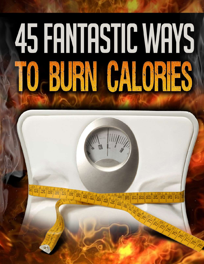# 45 FANTASTIC WAYS BURN CAPATS

Learn how you can burn fat while eating your favorite foods:

http://www.bester.com/go/fatlossfactor Page 1999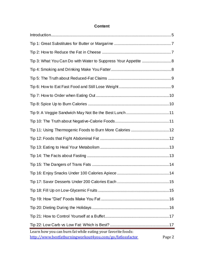#### **Content**

| Tip 3: What You Can Do with Water to Suppress Your Appetite  8                                                            |        |
|---------------------------------------------------------------------------------------------------------------------------|--------|
|                                                                                                                           |        |
|                                                                                                                           |        |
|                                                                                                                           |        |
|                                                                                                                           |        |
|                                                                                                                           |        |
|                                                                                                                           |        |
|                                                                                                                           |        |
|                                                                                                                           |        |
|                                                                                                                           |        |
|                                                                                                                           |        |
|                                                                                                                           |        |
|                                                                                                                           |        |
|                                                                                                                           |        |
| Tip 17: Savor Desserts Under 200 Calories Each                                                                            | 15     |
|                                                                                                                           |        |
|                                                                                                                           |        |
|                                                                                                                           |        |
|                                                                                                                           |        |
|                                                                                                                           |        |
| Learn how you can burn fat while eating your favorite foods:<br>http://www.bestfatburningworkout4you.com/go/fatlossfactor | Page 2 |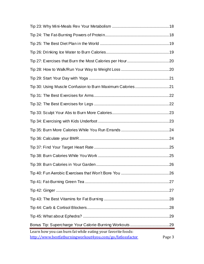| Learn how you can burn fat while eating your favorite foods:<br>http://www.bestfatburningworkout4you.com/go/fatlossfactor | Page 3 |
|---------------------------------------------------------------------------------------------------------------------------|--------|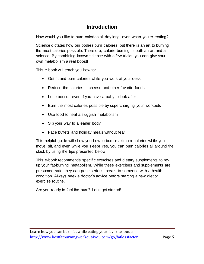#### **Introduction**

<span id="page-4-0"></span>How would you like to burn calories all day long, even when you're resting?

Science dictates how our bodies burn calories, but there is an art to burning the most calories possible. Therefore, calorie-burning is both an art and a science. By combining known science with a few tricks, you can give your own metabolism a real boost!

This e-book will teach you how to:

- Get fit and burn calories while you work at your desk
- Reduce the calories in cheese and other favorite foods
- Lose pounds even if you have a baby to look after
- Burn the most calories possible by supercharging your workouts
- Use food to heal a sluggish metabolism
- Sip your way to a leaner body
- Face buffets and holiday meals without fear

This helpful guide will show you how to burn maximum calories while you move, sit, and even while you sleep! Yes, you can burn calories all around the clock by using the tips presented below.

This e-book recommends specific exercises and dietary supplements to rev up your fat-burning metabolism. While these exercises and supplements are presumed safe, they can pose serious threats to someone with a health condition. Always seek a doctor's advice before starting a new diet or exercise routine.

Are you ready to feel the burn? Let's get started!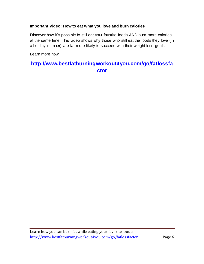#### **Important Video: How to eat what you love and burn calories**

Discover how it's possible to still eat your favorite foods AND burn more calories at the same time. This video shows why those who still eat the foods they love (in a healthy manner) are far more likely to succeed with their weight-loss goals.

Learn more now:

#### **[http://www.bestfatburningworkout4you.com/go/fatlossfa](http://www.bestfatburningworkout4you.com/go/fatlossfactor) [ctor](http://www.bestfatburningworkout4you.com/go/fatlossfactor)**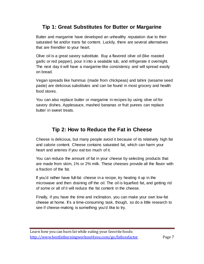#### **Tip 1: Great Substitutes for Butter or Margarine**

<span id="page-6-0"></span>Butter and margarine have developed an unhealthy reputation due to their saturated fat and/or trans fat content. Luckily, there are several alternatives that are friendlier to your heart.

Olive oil is a great savory substitute. Buy a flavored olive oil (like roasted garlic or red pepper), pour it into a sealable tub, and refrigerate it overnight. The next day it will have a margarine-like consistency and will spread easily on bread.

Vegan spreads like hummus (made from chickpeas) and tahini (sesame seed paste) are delicious substitutes and can be found in most grocery and health food stores.

<span id="page-6-1"></span>You can also replace butter or margarine in recipes by using olive oil for savory dishes. Applesauce, mashed bananas or fruit purees can replace butter in sweet treats.

#### **Tip 2: How to Reduce the Fat in Cheese**

Cheese is delicious, but many people avoid it because of its relatively high fat and calorie content. Cheese contains saturated fat, which can harm your heart and arteries if you eat too much of it.

You can reduce the amount of fat in your cheese by selecting products that are made from skim, 1% or 2% milk. These cheeses provide all the flavor with a fraction of the fat.

If you'd rather have full-fat cheese in a recipe, try heating it up in the microwave and then draining off the oil. The oil is liquefied fat, and getting rid of some or all of it will reduce the fat content in the cheese.

Finally, if you have the time and inclination, you can make your own low-fat cheese at home. It's a time-consuming task, though, so do a little research to see if cheese-making is something you'd like to try.

Learn how you can burn fat while eating your favorite foods: <http://www.bestfatburningworkout4you.com/go/fatlossfactor> Page 7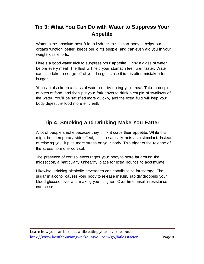# <span id="page-7-0"></span>**Tip 3: What You Can Do with Water to Suppress Your Appetite**

Water is the absolute best fluid to hydrate the human body. It helps our organs function better, keeps our joints supple, and can even aid you in your weight-loss efforts.

Here's a good water trick to suppress your appetite: Drink a glass of water before every meal. The fluid will help your stomach feel fuller faster. Water can also take the edge off of your hunger since thirst is often mistaken for hunger.

You can also keep a glass of water nearby during your meal. Take a couple of bites of food, and then put your fork down to drink a couple of swallows of the water. You'll be satisfied more quickly, and the extra fluid will help your body digest the food more efficiently.

# <span id="page-7-1"></span>**Tip 4: Smoking and Drinking Make You Fatter**

A lot of people smoke because they think it curbs their appetite. While this might be a temporary side effect, nicotine actually acts as a stimulant. Instead of relaxing you, it puts more stress on your body. This triggers the release of the stress hormone cortisol.

The presence of cortisol encourages your body to store fat around the midsection, a particularly unhealthy place for extra pounds to accumulate.

Likewise, drinking alcoholic beverages can contribute to fat storage. The sugar in alcohol causes your body to release insulin, rapidly dropping your blood glucose level and making you hungrier. Over time, insulin resistance can occur.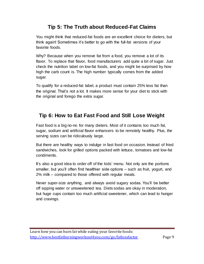# **Tip 5: The Truth about Reduced-Fat Claims**

<span id="page-8-0"></span>You might think that reduced-fat foods are an excellent choice for dieters, but think again! Sometimes it's better to go with the full-fat versions of your favorite foods.

Why? Because when you remove fat from a food, you remove a lot of its flavor. To replace that flavor, food manufacturers add quite a bit of sugar. Just check the nutrition label on low-fat foods, and you might be surprised by how high the carb count is. The high number typically comes from the added sugar.

To qualify for a reduced-fat label, a product must contain 25% less fat than the original. That's not a lot. It makes more sense for your diet to stick with the original and forego the extra sugar.

#### <span id="page-8-1"></span>**Tip 6: How to Eat Fast Food and Still Lose Weight**

Fast food is a big no-no for many dieters. Most of it contains too much fat, sugar, sodium and artificial flavor enhancers to be remotely healthy. Plus, the serving sizes can be ridiculously large.

But there are healthy ways to indulge in fast food on occasion. Instead of fried sandwiches, look for grilled options packed with lettuce, tomatoes and low-fat condiments.

It's also a good idea to order off of the kids' menu. Not only are the portions smaller, but you'll often find healthier side options – such as fruit, yogurt, and 2% milk – compared to those offered with regular meals.

Never super-size anything, and always avoid sugary sodas. You'll be better off sipping water or unsweetened tea. Diets sodas are okay in moderation, but huge cups contain too much artificial sweetener, which can lead to hunger and cravings.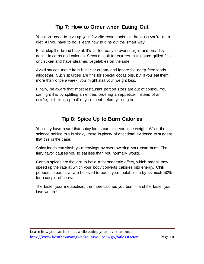#### **Tip 7: How to Order when Eating Out**

<span id="page-9-0"></span>You don't need to give up your favorite restaurants just because you're on a diet. All you have to do is learn how to dine out the smart way.

First, skip the bread basket. It's far too easy to overindulge, and bread is dense in carbs and calories. Second, look for entrées that feature grilled fish or chicken and have steamed vegetables on the side.

Avoid sauces made from butter or cream, and ignore the deep-fried foods altogether. Such splurges are fine for special occasions, but if you eat them more than once a week, you might stall your weight loss.

<span id="page-9-1"></span>Finally, be aware that most restaurant portion sizes are out of control. You can fight this by splitting an entrée, ordering an appetizer instead of an entrée, or boxing up half of your meal before you dig in.

# **Tip 8: Spice Up to Burn Calories**

You may have heard that spicy foods can help you lose weight. While the science behind this is shaky, there is plenty of anecdotal evidence to suggest that this is the case.

Spicy foods can slash your cravings by overpowering your taste buds. The fiery flavor causes you to eat less than you normally would.

Certain spices are thought to have a thermogenic effect, which means they speed up the rate at which your body converts calories into energy. Chili peppers in particular are believed to boost your metabolism by as much 50% for a couple of hours.

The faster your metabolism, the more calories you burn – and the faster you lose weight!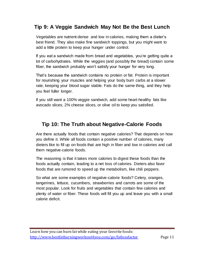#### <span id="page-10-0"></span>**Tip 9: A Veggie Sandwich May Not Be the Best Lunch**

Vegetables are nutrient-dense and low in calories, making them a dieter's best friend. They also make fine sandwich toppings, but you might want to add a little protein to keep your hunger under control.

If you eat a sandwich made from bread and vegetables, you're getting quite a lot of carbohydrates. While the veggies (and possibly the bread) contain some fiber, the sandwich probably won't satisfy your hunger for very long.

That's because the sandwich contains no protein or fat. Protein is important for nourishing your muscles and helping your body burn carbs at a slower rate, keeping your blood sugar stable. Fats do the same thing, and they help you feel fuller longer.

<span id="page-10-1"></span>If you still want a 100% veggie sandwich, add some heart-healthy fats like avocado slices, 2% cheese slices, or olive oil to keep you satisfied.

#### **Tip 10: The Truth about Negative-Calorie Foods**

Are there actually foods that contain negative calories? That depends on how you define it. While all foods contain a positive number of calories, many dieters like to fill up on foods that are high in fiber and low in calories and call them negative-calorie foods.

The reasoning is that it takes more calories to digest these foods than the foods actually contain, leading to a net loss of calories. Dieters also favor foods that are rumored to speed up the metabolism, like chili peppers.

So what are some examples of negative-calorie foods? Celery, oranges, tangerines, lettuce, cucumbers, strawberries and carrots are some of the most popular. Look for fruits and vegetables that contain few calories and plenty of water or fiber. These foods will fill you up and leave you with a small calorie deficit.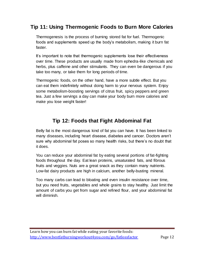# <span id="page-11-0"></span>**Tip 11: Using Thermogenic Foods to Burn More Calories**

Thermogenesis is the process of burning stored fat for fuel. Thermogenic foods and supplements speed up the body's metabolism, making it burn fat faster.

It's important to note that thermogenic supplements lose their effectiveness over time. These products are usually made from ephedra-like chemicals and herbs, plus caffeine and other stimulants. They can even be dangerous if you take too many, or take them for long periods of time.

Thermogenic foods, on the other hand, have a more subtle effect. But you can eat them indefinitely without doing harm to your nervous system. Enjoy some metabolism-boosting servings of citrus fruit, spicy peppers and green tea. Just a few servings a day can make your body burn more calories and make you lose weight faster!

# **Tip 12: Foods that Fight Abdominal Fat**

<span id="page-11-1"></span>Belly fat is the most dangerous kind of fat you can have. It has been linked to many diseases, including heart disease, diabetes and cancer. Doctors aren't sure why abdominal fat poses so many health risks, but there's no doubt that it does.

You can reduce your abdominal fat by eating several portions of fat-fighting foods throughout the day. Eat lean proteins, unsaturated fats, and fibrous fruits and veggies. Nuts are a great snack as they contain many nutrients. Low-fat dairy products are high in calcium, another belly-busting mineral.

Too many carbs can lead to bloating and even insulin resistance over time, but you need fruits, vegetables and whole grains to stay healthy. Just limit the amount of carbs you get from sugar and refined flour, and your abdominal fat will diminish.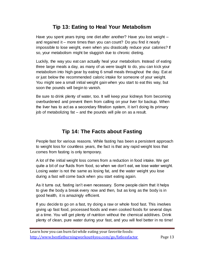#### **Tip 13: Eating to Heal Your Metabolism**

<span id="page-12-0"></span>Have you spent years trying one diet after another? Have you lost weight – and regained it – more times than you can count? Do you find it nearly impossible to lose weight, even when you drastically reduce your calories? If so, your metabolism might be sluggish due to chronic dieting.

Luckily, the way you eat can actually heal your metabolism. Instead of eating three large meals a day, as many of us were taught to do, you can kick your metabolism into high gear by eating 6 small meals throughout the day. Eat at or just below the recommended caloric intake for someone of your weight. You might see a small initial weight gain when you start to eat this way, but soon the pounds will begin to vanish.

Be sure to drink plenty of water, too. It will keep your kidneys from becoming overburdened and prevent them from calling on your liver for backup. When the liver has to act as a secondary filtration system, it isn't doing its primary job of metabolizing fat – and the pounds will pile on as a result.

#### **Tip 14: The Facts about Fasting**

<span id="page-12-1"></span>People fast for various reasons. While fasting has been a persistent approach to weight loss for countless years, the fact is that any rapid weight loss that comes from fasting is only temporary.

A lot of the initial weight loss comes from a reduction in food intake. We get quite a bit of our fluids from food, so when we don't eat, we lose water weight. Losing water is not the same as losing fat, and the water weight you lose during a fast will come back when you start eating again.

As it turns out, fasting isn't even necessary. Some people claim that it helps to give the body a break every now and then, but as long as the body is in good health, it is amazingly efficient.

If you decide to go on a fast, try doing a raw or whole food fast. This involves giving up fast food, processed foods and even cooked foods for several days at a time. You will get plenty of nutrition without the chemical additives. Drink plenty of clean, pure water during your fast, and you will feel better in no time!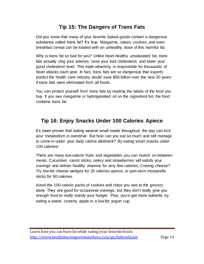#### **Tip 15: The Dangers of Trans Fats**

<span id="page-13-0"></span>Did you know that many of your favorite baked goods contain a dangerous substance called trans fat? It's true: Margarine, cakes, cookies, and even breakfast cereal can be loaded with an unhealthy dose of this harmful fat.

Why is trans fat so bad for you? Unlike heart-healthy unsaturated fat, trans fats actually clog your arteries, raise your bad cholesterol, and lower your good cholesterol level. This triple-whammy is responsible for thousands of heart attacks each year. In fact, trans fats are so dangerous that experts predict the health care industry would save \$56 billion over the next 20 years if trans fats were eliminated from all foods.

You can protect yourself from trans fats by reading the labels of the food you buy. If you see margarine or hydrogenated oil on the ingredient list, the food contains trans fat.

# <span id="page-13-1"></span>**Tip 16: Enjoy Snacks Under 100 Calories Apiece**

It's been proven that eating several small meals throughout the day can kick your metabolism in overdrive. But how can you eat so much and still manage to come in under your daily calorie allotment? By eating smart snacks under 100 calories!

There are many low-calorie fruits and vegetables you can munch on between meals. Cucumber, carrot sticks, celery and strawberries will satisfy your cravings and deliver healthy vitamins for very few calories. Craving cheese? Try low-fat cheese wedges for 35 calories apiece, or part-skim mozzarella sticks for 80 calories.

Avoid the 100-calorie packs of cookies and chips you see at the grocery store. They are good for occasional cravings, but they don't really give you enough food to really satisfy your hunger. Plus, you'd get more nutrients by eating a sweet, crunchy apple or a low-fat yogurt cup.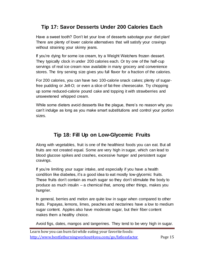#### <span id="page-14-0"></span>**Tip 17: Savor Desserts Under 200 Calories Each**

Have a sweet tooth? Don't let your love of desserts sabotage your diet plan! There are plenty of lower calorie alternatives that will satisfy your cravings without straining your skinny jeans.

If you're dying for some ice cream, try a Weight Watchers frozen dessert. They typically clock in under 200 calories each. Or try one of the half-cup servings of real ice cream now available in many grocery and convenience stores. The tiny serving size gives you full flavor for a fraction of the calories.

For 200 calories, you can have two 100-calorie snack cakes; plenty of sugarfree pudding or Jell-O; or even a slice of fat-free cheesecake. Try chopping up some reduced-calorie pound cake and topping it with strawberries and unsweetened whipped cream.

<span id="page-14-1"></span>While some dieters avoid desserts like the plague, there's no reason why you can't indulge as long as you make smart substitutions and control your portion sizes.

# **Tip 18: Fill Up on Low-Glycemic Fruits**

Along with vegetables, fruit is one of the healthiest foods you can eat. But all fruits are not created equal. Some are very high in sugar, which can lead to blood glucose spikes and crashes, excessive hunger and persistent sugar cravings.

If you're limiting your sugar intake, and especially if you have a health condition like diabetes, it's a good idea to eat mostly low-glycemic fruits. These fruits don't contain as much sugar so they don't stimulate the body to produce as much insulin – a chemical that, among other things, makes you hungrier.

In general, berries and melon are quite low in sugar when compared to other fruits. Papayas, lemons, limes, peaches and nectarines have a low to medium sugar content. Apples also have moderate sugar, but their fiber content makes them a healthy choice.

Avoid figs, dates, mangos and tangerines. They tend to be very high in sugar.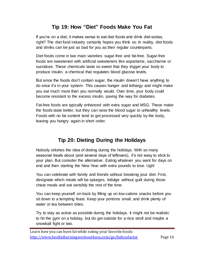#### **Tip 19: How "Diet" Foods Make You Fat**

<span id="page-15-0"></span>If you're on a diet, it makes sense to eat diet foods and drink diet sodas, right? The diet food industry certainly hopes you think so. In reality, diet foods and drinks can be just as bad for you as their regular counterparts.

Diet foods come in two main varieties: sugar-free and fat-free. Sugar-free foods are sweetened with artificial sweeteners like aspartame, saccharine or sucralose. These chemicals taste so sweet that they trigger your body to produce insulin, a chemical that regulates blood glucose levels.

But since the foods don't contain sugar, the insulin doesn't have anything to do once it's in your system. This causes hunger and lethargy and might make you eat much more than you normally would. Over time, your body could become resistant to the excess insulin, paving the way for diabetes.

Fat-free foods are typically enhanced with extra sugar and MSG. These make the foods taste better, but they can raise the blood sugar to unhealthy levels. Foods with no fat content tend to get processed very quickly by the body, leaving you hungry again in short order.

# **Tip 20: Dieting During the Holidays**

<span id="page-15-1"></span>Nobody relishes the idea of dieting during the holidays. With so many seasonal treats about (and several days of leftovers), it's not easy to stick to your plan. But consider the alternative: Eating whatever you want for days on end and then starting the New Year with extra pounds to lose. Ugh!

You can celebrate with family and friends without breaking your diet. First, designate which meals will be splurges. Indulge without guilt during those cheat meals and eat sensibly the rest of the time.

You can keep yourself on track by filling up on low-calorie snacks before you sit down to a tempting feast. Keep your portions small, and drink plenty of water or tea between bites.

Try to stay as active as possible during the holidays. It might not be realistic to hit the gym on a holiday, but do get outside for a nice stroll and maybe a snowball fight or two.

Learn how you can burn fat while eating your favorite foods: <http://www.bestfatburningworkout4you.com/go/fatlossfactor> Page 16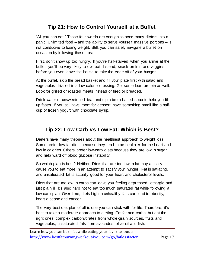#### **Tip 21: How to Control Yourself at a Buffet**

<span id="page-16-0"></span>"All you can eat!" Those four words are enough to send many dieters into a panic. Unlimited food – and the ability to serve yourself massive portions – is not conducive to losing weight. Still, you can safely navigate a buffet on occasion by following these tips:

First, don't show up too hungry. If you're half-starved when you arrive at the buffet, you'll be very likely to overeat. Instead, snack on fruit and veggies before you even leave the house to take the edge off of your hunger.

At the buffet, skip the bread basket and fill your plate first with salad and vegetables drizzled in a low-calorie dressing. Get some lean protein as well. Look for grilled or roasted meats instead of fried or breaded.

Drink water or unsweetened tea, and sip a broth-based soup to help you fill up faster. If you still have room for dessert, have something small like a halfcup of frozen yogurt with chocolate syrup.

# <span id="page-16-1"></span>**Tip 22: Low Carb vs Low Fat: Which is Best?**

Dieters have many theories about the healthiest approach to weight loss. Some prefer low-fat diets because they tend to be healthier for the heart and low in calories. Others prefer low-carb diets because they are low in sugar and help ward off blood glucose instability.

So which plan is best? Neither! Diets that are too low in fat may actually cause you to eat more in an attempt to satisfy your hunger. Fat is satiating, and unsaturated fat is actually good for your heart and cholesterol levels.

Diets that are too low in carbs can leave you feeling depressed, lethargic and just plain ill. It's also hard not to eat too much saturated fat while following a low-carb plan. Over time, diets high in unhealthy fats can lead to obesity, heart disease and cancer.

The very best diet plan of all is one you can stick with for life. Therefore, it's best to take a moderate approach to dieting. Eat fat and carbs, but eat the right ones: complex carbohydrates from whole-grain sources, fruits and vegetables; unsaturated fats from avocados, olive oil and fish.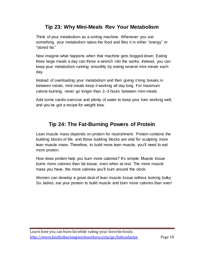#### **Tip 23: Why Mini-Meals Rev Your Metabolism**

<span id="page-17-0"></span>Think of your metabolism as a sorting machine. Whenever you eat something, your metabolism takes the food and files it in either "energy" or "stored fat."

Now imagine what happens when that machine gets bogged down. Eating three large meals a day can throw a wrench into the works. Instead, you can keep your metabolism running smoothly by eating several mini-meals each day.

Instead of overloading your metabolism and then giving it long breaks in between meals, mini-meals keep it working all day long. For maximum calorie-burning, never go longer than 2–3 hours between mini-meals.

<span id="page-17-1"></span>Add some cardio exercise and plenty of water to keep your liver working well, and you've got a recipe for weight loss.

# **Tip 24: The Fat-Burning Powers of Protein**

Lean muscle mass depends on protein for nourishment. Protein contains the building blocks of life, and those building blocks are vital for sculpting more lean muscle mass. Therefore, to build more lean muscle, you'll need to eat more protein.

How does protein help you burn more calories? It's simple: Muscle tissue burns more calories than fat tissue, even when at rest. The more muscle mass you have, the more calories you'll burn around the clock.

Women can develop a great deal of lean muscle tissue without looking bulky. So, ladies, eat your protein to build muscle and burn more calories than ever!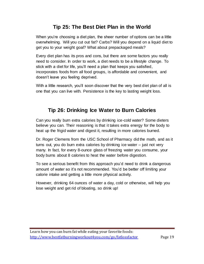#### **Tip 25: The Best Diet Plan in the World**

<span id="page-18-0"></span>When you're choosing a diet plan, the sheer number of options can be a little overwhelming. Will you cut out fat? Carbs? Will you depend on a liquid diet to get you to your weight goal? What about prepackaged meals?

Every diet plan has its pros and cons, but there are some factors you really need to consider. In order to work, a diet needs to be a lifestyle change. To stick with a diet for life, you'll need a plan that keeps you satisfied, incorporates foods from all food groups, is affordable and convenient, and doesn't leave you feeling deprived.

<span id="page-18-1"></span>With a little research, you'll soon discover that the very best diet plan of all is one that you can live with. Persistence is the key to lasting weight loss.

# **Tip 26: Drinking Ice Water to Burn Calories**

Can you really burn extra calories by drinking ice-cold water? Some dieters believe you can. Their reasoning is that it takes extra energy for the body to heat up the frigid water and digest it, resulting in more calories burned.

Dr. Roger Clemens from the USC School of Pharmacy did the math, and as it turns out, you do burn extra calories by drinking ice water – just not very many. In fact, for every 8-ounce glass of freezing water you consume, your body burns about 8 calories to heat the water before digestion.

To see a serious benefit from this approach you'd need to drink a dangerous amount of water so it's not recommended. You'd be better off limiting your calorie intake and getting a little more physical activity.

However, drinking 64 ounces of water a day, cold or otherwise, will help you lose weight and get rid of bloating, so drink up!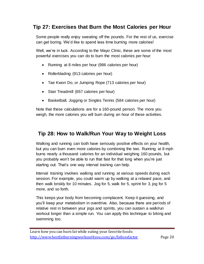#### <span id="page-19-0"></span>**Tip 27: Exercises that Burn the Most Calories per Hour**

Some people really enjoy sweating off the pounds. For the rest of us, exercise can get boring. We'd like to spend less time burning more calories!

Well, we're in luck. According to the Mayo Clinic, these are some of the most powerful exercises you can do to burn the most calories per hour:

- Running at 8 miles per hour (986 calories per hour)
- Rollerblading (913 calories per hour)
- Tae Kwon Do, or Jumping Rope (713 calories per hour)
- Stair Treadmill (657 calories per hour)
- Basketball, Jogging or Singles Tennis (584 calories per hour)

Note that these calculations are for a 160-pound person. The more you weigh, the more calories you will burn during an hour of these activities.

# <span id="page-19-1"></span>**Tip 28: How to Walk/Run Your Way to Weight Loss**

Walking and running can both have seriously positive effects on your health, but you can burn even more calories by combining the two. Running at 8 mph burns nearly a thousand calories for an individual weighing 160 pounds, but you probably won't be able to run that fast for that long when you're just starting out. That's one way interval training can help.

Interval training involves walking and running at various speeds during each session. For example, you could warm up by walking at a relaxed pace, and then walk briskly for 10 minutes. Jog for 5, walk for 5, sprint for 3, jog for 5 more, and so forth.

This keeps your body from becoming complacent. Keep it guessing, and you'll keep your metabolism in overdrive. Also, because there are periods of relative rest in between your jogs and sprints, you can sustain a walk/run workout longer than a simple run. You can apply this technique to biking and swimming too.

Learn how you can burn fat while eating your favorite foods: <http://www.bestfatburningworkout4you.com/go/fatlossfactor> Page 20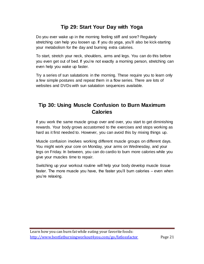#### **Tip 29: Start Your Day with Yoga**

<span id="page-20-0"></span>Do you ever wake up in the morning feeling stiff and sore? Regularly stretching can help you loosen up. If you do yoga, you'll also be kick-starting your metabolism for the day and burning extra calories.

To start, stretch your neck, shoulders, arms and legs. You can do this before you even get out of bed. If you're not exactly a morning person, stretching can even help you wake up faster.

Try a series of sun salutations in the morning. These require you to learn only a few simple postures and repeat them in a flow series. There are lots of websites and DVDs with sun salutation sequences available.

# <span id="page-20-1"></span>**Tip 30: Using Muscle Confusion to Burn Maximum Calories**

If you work the same muscle group over and over, you start to get diminishing rewards. Your body grows accustomed to the exercises and stops working as hard as it first needed to. However, you can avoid this by mixing things up.

Muscle confusion involves working different muscle groups on different days. You might work your core on Monday, your arms on Wednesday, and your legs on Friday. In between, you can do cardio to burn more calories while you give your muscles time to repair.

Switching up your workout routine will help your body develop muscle tissue faster. The more muscle you have, the faster you'll burn calories – even when you're relaxing.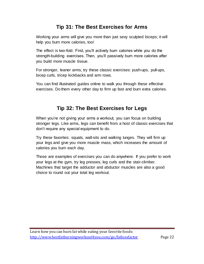#### **Tip 31: The Best Exercises for Arms**

<span id="page-21-0"></span>Working your arms will give you more than just sexy sculpted biceps; it will help you burn more calories, too!

The effect is two-fold. First, you'll actively burn calories while you do the strength-building exercises. Then, you'll passively burn more calories after you build more muscle tissue.

For stronger, leaner arms, try these classic exercises: push-ups, pull-ups, bicep curls, tricep kickbacks and arm rows.

<span id="page-21-1"></span>You can find illustrated guides online to walk you through these effective exercises. Do them every other day to firm up fast and burn extra calories.

# **Tip 32: The Best Exercises for Legs**

When you're not giving your arms a workout, you can focus on building stronger legs. Like arms, legs can benefit from a host of classic exercises that don't require any special equipment to do.

Try these favorites: squats, wall-sits and walking lunges. They will firm up your legs and give you more muscle mass, which increases the amount of calories you burn each day.

Those are examples of exercises you can do anywhere. If you prefer to work your legs at the gym, try leg presses, leg curls and the stair-climber. Machines that target the adductor and abductor muscles are also a good choice to round out your total leg workout.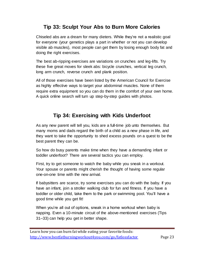#### **Tip 33: Sculpt Your Abs to Burn More Calories**

<span id="page-22-0"></span>Chiseled abs are a dream for many dieters. While they're not a realistic goal for everyone (your genetics plays a part in whether or not you can develop visible ab muscles), most people can get them by losing enough body fat and doing the right exercises.

The best ab-ripping exercises are variations on crunches and leg-lifts. Try these five great moves for sleek abs: bicycle crunches, vertical leg crunch, long arm crunch, reverse crunch and plank position.

All of those exercises have been listed by the American Council for Exercise as highly effective ways to target your abdominal muscles. None of them require extra equipment so you can do them in the comfort of your own home. A quick online search will turn up step-by-step guides with photos.

# **Tip 34: Exercising with Kids Underfoot**

<span id="page-22-1"></span>As any new parent will tell you, kids are a full-time job unto themselves. But many moms and dads regard the birth of a child as a new phase in life, and they want to take the opportunity to shed excess pounds on a quest to be the best parent they can be.

So how do busy parents make time when they have a demanding infant or toddler underfoot? There are several tactics you can employ.

First, try to get someone to watch the baby while you sneak in a workout. Your spouse or parents might cherish the thought of having some regular one-on-one time with the new arrival.

If babysitters are scarce, try some exercises you can do with the baby. If you have an infant, join a stroller walking club for fun and fitness. If you have a toddler or older child, take them to the park or swimming pool. You'll have a good time while you get fit!

When you're all out of options, sneak in a home workout when baby is napping. Even a 10-minute circuit of the above-mentioned exercises (Tips 31–33) can help you get in better shape.

Learn how you can burn fat while eating your favorite foods: <http://www.bestfatburningworkout4you.com/go/fatlossfactor> Page 23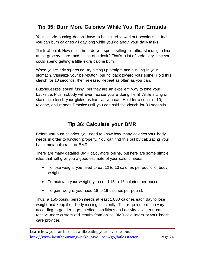# <span id="page-23-0"></span>**Tip 35: Burn More Calories While You Run Errands**

Your calorie burning doesn't have to be limited to workout sessions. In fact, you can burn calories all day long while you go about your daily tasks.

Think about it: How much time do you spend sitting in traffic, standing in line at the grocery store, and sitting at a desk? That's a lot of sedentary time you could spend getting a little extra calorie burn.

When you're driving around, try sitting up straight and sucking in your stomach. Visualize your bellybutton pulling back toward your spine. Hold this clench for 10 seconds, then release. Repeat as often as you can.

Butt-squeezes sound funny, but they are an excellent way to tone your backside. Plus, nobody will even realize you're doing them! While sitting or standing, clench your glutes as hard as you can. Hold for a count of 10, release, and repeat. Practice until you can hold the clench for 30 seconds.

#### **Tip 36: Calculate your BMR**

<span id="page-23-1"></span>Before you burn calories, you need to know how many calories your body needs in order to function properly. You can find this out by calculating your basal metabolic rate, or BMR.

There are many detailed BMR calculators online, but here are some simple rules that will give you a good estimate of your caloric needs:

- To lose weight, you need to eat 12 to 13 calories per pound of body weight.
- To maintain your weight, you need 15 to 16 calories per pound.
- To gain weight, you need 18 to 19 calories per pound.

Thus, a 150-pound person needs at least 1,800 calories each day to lose weight and keep their body running efficiently. This requirement can vary according to gender, age, medical conditions and activity level. You can receive more customized results from online BMR calculators or your health care provider.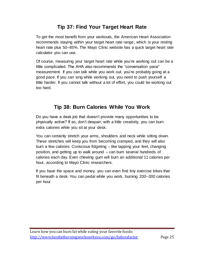# **Tip 37: Find Your Target Heart Rate**

<span id="page-24-0"></span>To get the most benefit from your workouts, the American Heart Association recommends staying within your target heart rate range, which is your resting heart rate plus 50–85%. The Mayo Clinic website has a quick target heart rate calculator you can use.

Of course, measuring your target heart rate while you're working out can be a little complicated. The AHA also recommends the "conversation pace" measurement. If you can talk while you work out, you're probably going at a good pace. If you can sing while working out, you need to push yourself a little harder. If you cannot talk without a lot of effort, you could be working out too hard.

# **Tip 38: Burn Calories While You Work**

<span id="page-24-1"></span>Do you have a desk job that doesn't provide many opportunities to be physically active? If so, don't despair; with a little creativity, you can burn extra calories while you sit at your desk.

You can certainly stretch your arms, shoulders and neck while sitting down. These stretches will keep you from becoming cramped, and they will also burn a few calories. Conscious fidgeting – like tapping your feet, changing position, and getting up to walk around – can burn several hundreds of calories each day. Even chewing gum will burn an additional 11 calories per hour, according to Mayo Clinic researchers.

If you have the space and money, you can even find tiny exercise bikes that fit beneath a desk. You can pedal while you work, burning 200–300 calories per hour.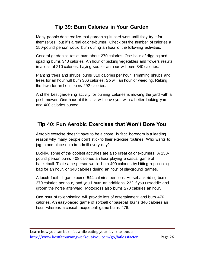#### **Tip 39: Burn Calories in Your Garden**

<span id="page-25-0"></span>Many people don't realize that gardening is hard work until they try it for themselves, but it's a real calorie-burner. Check out the number of calories a 150-pound person would burn during an hour of the following activities:

General gardening tasks burn about 270 calories. One hour of digging and spading burns 340 calories. An hour of picking vegetables and flowers results in a loss of 210 calories. Laying sod for an hour will burn 340 calories.

Planting trees and shrubs burns 310 calories per hour. Trimming shrubs and trees for an hour will burn 306 calories. So will an hour of weeding. Raking the lawn for an hour burns 292 calories.

And the best gardening activity for burning calories is mowing the yard with a push mower. One hour at this task will leave you with a better-looking yard and 400 calories burned!

# <span id="page-25-1"></span>**Tip 40: Fun Aerobic Exercises that Won't Bore You**

Aerobic exercise doesn't have to be a chore. In fact, boredom is a leading reason why many people don't stick to their exercise routines. Who wants to jog in one place on a treadmill every day?

Luckily, some of the coolest activities are also great calorie-burners! A 150 pound person burns 408 calories an hour playing a casual game of basketball. That same person would burn 400 calories by hitting a punching bag for an hour, or 340 calories during an hour of playground games.

A touch football game burns 544 calories per hour. Horseback riding burns 270 calories per hour, and you'll burn an additional 232 if you unsaddle and groom the horse afterward. Motocross also burns 270 calories an hour.

One hour of roller-skating will provide lots of entertainment and burn 476 calories. An easy-paced game of softball or baseball burns 340 calories an hour, whereas a casual racquetball game burns 476.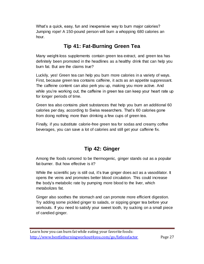What's a quick, easy, fun and inexpensive way to burn major calories? Jumping rope! A 150-pound person will burn a whopping 680 calories an hour.

# **Tip 41: Fat-Burning Green Tea**

<span id="page-26-0"></span>Many weight-loss supplements contain green tea extract, and green tea has definitely been promoted in the headlines as a healthy drink that can help you burn fat. But are the claims true?

Luckily, yes! Green tea can help you burn more calories in a variety of ways. First, because green tea contains caffeine, it acts as an appetite suppressant. The caffeine content can also perk you up, making you more active. And while you're working out, the caffeine in green tea can keep your heart rate up for longer periods of time.

Green tea also contains plant substances that help you burn an additional 60 calories per day, according to Swiss researchers. That's 60 calories gone from doing nothing more than drinking a few cups of green tea.

<span id="page-26-1"></span>Finally, if you substitute calorie-free green tea for sodas and creamy coffee beverages, you can save a lot of calories and still get your caffeine fix.

# **Tip 42: Ginger**

Among the foods rumored to be thermogenic, ginger stands out as a popular fat-burner. But how effective is it?

While the scientific jury is still out, it's true ginger does act as a vasodilator. It opens the veins and promotes better blood circulation. This could increase the body's metabolic rate by pumping more blood to the liver, which metabolizes fat.

Ginger also soothes the stomach and can promote more efficient digestion. Try adding some pickled ginger to salads, or sipping ginger tea before your workouts. If you need to satisfy your sweet tooth, try sucking on a small piece of candied ginger.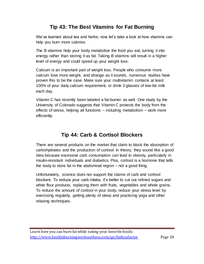# **Tip 43: The Best Vitamins for Fat Burning**

<span id="page-27-0"></span>We've learned about tea and herbs; now let's take a look at how vitamins can help you burn more calories.

The B vitamins help your body metabolize the food you eat, turning it into energy rather than storing it as fat. Taking B vitamins will result in a higher level of energy and could speed up your weight loss.

Calcium is an important part of weight loss. People who consume more calcium lose more weight, and strange as it sounds, numerous studies have proven this to be the case. Make sure your multivitamin contains at least 100% of your daily calcium requirement, or drink 3 glasses of low-fat milk each day.

Vitamin C has recently been labeled a fat-burner as well. One study by the University of Colorado suggests that Vitamin C protects the body from the effects of stress, helping all functions – including metabolism – work more efficiently.

# **Tip 44: Carb & Cortisol Blockers**

<span id="page-27-1"></span>There are several products on the market that claim to block the absorption of carbohydrates and the production of cortisol. In theory, they sound like a good idea because excessive carb consumption can lead to obesity, particularly in insulin-resistant individuals and diabetics. Plus, cortisol is a hormone that tells the body to store fat in the abdominal region – not a good thing.

Unfortunately, science does not support the claims of carb and cortisol blockers. To reduce your carb intake, it's better to cut out refined sugars and white flour products, replacing them with fruits, vegetables and whole grains. To reduce the amount of cortisol in your body, reduce your stress level by exercising regularly, getting plenty of sleep and practicing yoga and other relaxing techniques.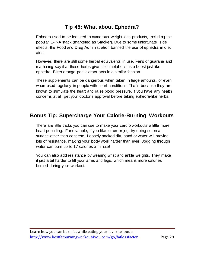# **Tip 45: What about Ephedra?**

<span id="page-28-0"></span>Ephedra used to be featured in numerous weight-loss products, including the popular E-P-A stack (marketed as Stacker). Due to some unfortunate side effects, the Food and Drug Administration banned the use of ephedra in diet aids.

However, there are still some herbal equivalents in use. Fans of guarana and ma huang say that these herbs give their metabolisms a boost just like ephedra. Bitter orange peel extract acts in a similar fashion.

These supplements can be dangerous when taken in large amounts, or even when used regularly in people with heart conditions. That's because they are known to stimulate the heart and raise blood pressure. If you have any health concerns at all, get your doctor's approval before taking ephedra-like herbs.

#### <span id="page-28-1"></span>**Bonus Tip: Supercharge Your Calorie-Burning Workouts**

There are little tricks you can use to make your cardio workouts a little more heart-pounding. For example, if you like to run or jog, try doing so on a surface other than concrete. Loosely packed dirt, sand or water will provide lots of resistance, making your body work harder than ever. Jogging through water can burn up to 17 calories a minute!

You can also add resistance by wearing wrist and ankle weights. They make it just a bit harder to lift your arms and legs, which means more calories burned during your workout.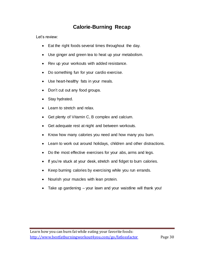#### **Calorie-Burning Recap**

<span id="page-29-0"></span>Let's review:

- Eat the right foods several times throughout the day.
- Use ginger and green tea to heat up your metabolism.
- Rev up your workouts with added resistance.
- Do something fun for your cardio exercise.
- Use heart-healthy fats in your meals.
- Don't cut out any food groups.
- Stay hydrated.
- Learn to stretch and relax.
- Get plenty of Vitamin C, B complex and calcium.
- Get adequate rest at night and between workouts.
- Know how many calories you need and how many you burn.
- Learn to work out around holidays, children and other distractions.
- Do the most effective exercises for your abs, arms and legs.
- If you're stuck at your desk, stretch and fidget to burn calories.
- Keep burning calories by exercising while you run errands.
- Nourish your muscles with lean protein.
- Take up gardening your lawn and your waistline will thank you!